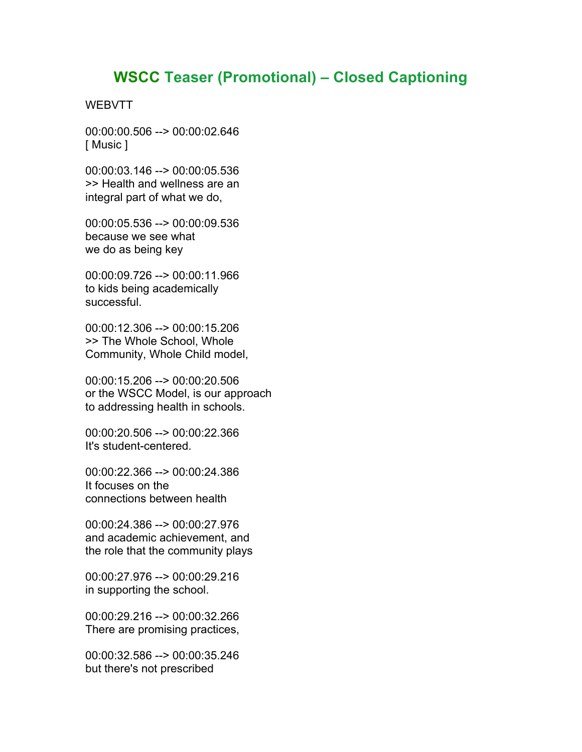## **WSCC Teaser (Promotional) – Closed Captioning**

## **WEBVTT**

00:00:00.506 --> 00:00:02.646 [ Music ]

00:00:03.146 --> 00:00:05.536 >> Health and wellness are an integral part of what we do,

00:00:05.536 --> 00:00:09.536 because we see what we do as being key

00:00:09.726 --> 00:00:11.966 to kids being academically successful.

00:00:12.306 --> 00:00:15.206 >> The Whole School, Whole Community, Whole Child model,

00:00:15.206 --> 00:00:20.506 or the WSCC Model, is our approach to addressing health in schools.

00:00:20.506 --> 00:00:22.366 It's student-centered.

00:00:22.366 --> 00:00:24.386 It focuses on the connections between health

00:00:24.386 --> 00:00:27.976 and academic achievement, and the role that the community plays

00:00:27.976 --> 00:00:29.216 in supporting the school.

00:00:29.216 --> 00:00:32.266 There are promising practices,

00:00:32.586 --> 00:00:35.246 but there's not prescribed